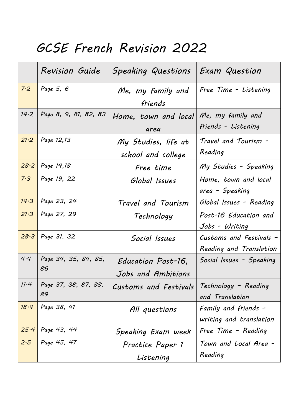## *GCSE French Revision 2022*

|      | <b>Revision Guide</b> | Speaking Questions    | Exam Question            |
|------|-----------------------|-----------------------|--------------------------|
| 7.2  | Page 5, 6             | Me, my family and     | Free Time - Listening    |
|      |                       | friends               |                          |
| 14.2 | Page 8, 9, 81, 82, 83 | Home, town and local  | Me, my family and        |
|      |                       | area                  | friends - Listening      |
| 21.2 | Page 12,13            | My Studies, life at   | Travel and Tourism -     |
|      |                       | school and college    | Reading                  |
| 28.2 | Page 14,18            | Free time             | My Studies - Speaking    |
| 7.3  | Page 19, 22           | Global Issues         | Home, town and local     |
|      |                       |                       | area - Speaking          |
| 14.3 | Page 23, 24           | Travel and Tourism    | Global Issues - Reading  |
| 21.3 | Page 27, 29           | Technology            | Post-16 Education and    |
|      |                       |                       | Jobs - Writing           |
| 28.3 | Page 31, 32           | Social Issues         | Customs and Festivals -  |
|      |                       |                       | Reading and Translation  |
| 4.4  | Page 34, 35, 84, 85,  | Education Post-16,    | Social Issues - Speaking |
|      | 86                    | Jobs and Ambitions    |                          |
| 11.4 | Page 37, 38, 87, 88,  | Customs and Festivals | Technology - Reading     |
|      | 89                    |                       | and Translation          |
| 18.4 | Page 38, 41           | All questions         | Family and friends $-$   |
|      |                       |                       | writing and translation  |
| 25.4 | Page 43, 44           | Speaking Exam week    | Free Time - Reading      |
| 2.5  | Page 45, 47           | Practice Paper 1      | Town and Local Area -    |
|      |                       | Listening             | Reading                  |